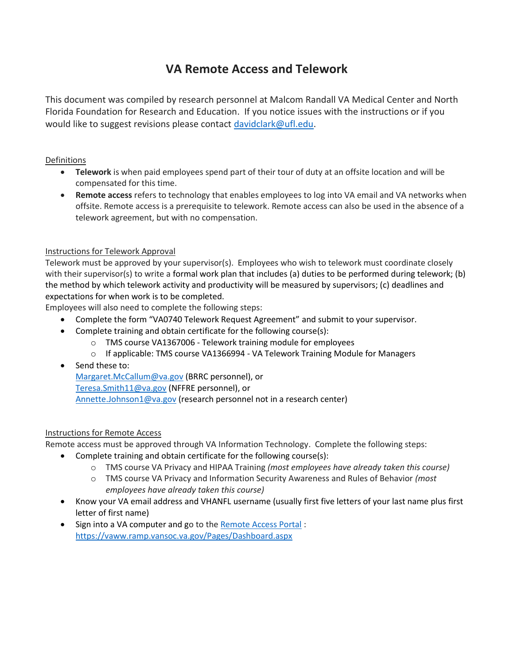# **VA Remote Access and Telework**

This document was compiled by research personnel at Malcom Randall VA Medical Center and North Florida Foundation for Research and Education. If you notice issues with the instructions or if you would like to suggest revisions please contact [davidclark@ufl.edu.](mailto:davidclark@ufl.edu)

### Definitions

- **Telework** is when paid employees spend part of their tour of duty at an offsite location and will be compensated for this time.
- **Remote access** refers to technology that enables employees to log into VA email and VA networks when offsite. Remote access is a prerequisite to telework. Remote access can also be used in the absence of a telework agreement, but with no compensation.

### Instructions for Telework Approval

Telework must be approved by your supervisor(s). Employees who wish to telework must coordinate closely with their supervisor(s) to write a formal work plan that includes (a) duties to be performed during telework; (b) the method by which telework activity and productivity will be measured by supervisors; (c) deadlines and expectations for when work is to be completed.

Employees will also need to complete the following steps:

- Complete the form "VA0740 Telework Request Agreement" and submit to your supervisor.
- Complete training and obtain certificate for the following course(s):
	- o TMS course VA1367006 Telework training module for employees
	- o If applicable: TMS course VA1366994 VA Telework Training Module for Managers
- Send these to:

[Margaret.McCallum@va.gov](mailto:Margaret.McCallum@va.gov) (BRRC pe[r](mailto:Teresa.Smith11@va.gov)sonnel), or [Teresa.Smith11@va.gov](mailto:Teresa.Smith11@va.gov) (NFFRE personnel), or [Annette.Johnson1@va.gov](mailto:Annette.Johnson1@va.gov) (research personnel not in a research center)

### Instructions for Remote Access

Remote access must be approved through VA Information Technology. Complete the following steps:

- Complete training and obtain certificate for the following course(s):
	- o TMS course VA Privacy and HIPAA Training *(most employees have already taken this course)*
	- o TMS course VA Privacy and Information Security Awareness and Rules of Behavior *(most employees have already taken this course)*
- Know your VA email address and VHANFL username (usually first five letters of your last name plus first letter of first name)
- Sign into a VA computer and go to th[e Remote Access Portal](https://vaww.ramp.vansoc.va.gov/Pages/Dashboard.aspx) : <https://vaww.ramp.vansoc.va.gov/Pages/Dashboard.aspx>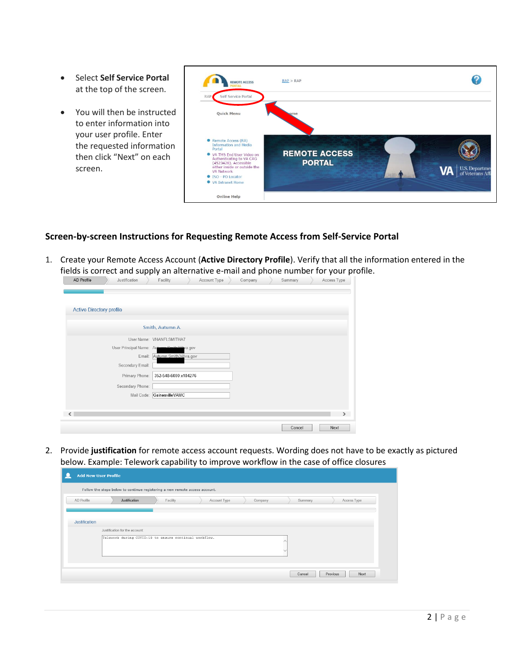- Select **Self Service Portal** at the top of the screen.
- You will then be instructed to enter information into your user profile. Enter the requested information then click "Next" on each screen.

| <b>REMOTE ACCESS</b>                                                                                                                                                                                                                      | RAP > RAP                             |                                                  |
|-------------------------------------------------------------------------------------------------------------------------------------------------------------------------------------------------------------------------------------------|---------------------------------------|--------------------------------------------------|
| Self Service Portal<br>RAP                                                                                                                                                                                                                |                                       |                                                  |
| Quick Menu                                                                                                                                                                                                                                | ome                                   |                                                  |
| Remote Access (RA)<br><b>Information and Media</b><br>Portal<br>• VA TMS End User Video on<br>Authenticating to VA CAG<br>(4523428). Accessible<br>either inside or outside the<br>VA Network<br>● ISO - PO Locator<br>● VA Intranet Home | <b>REMOTE ACCESS</b><br><b>PORTAL</b> | U.S. Department<br>of Veterans Aff:<br><b>VA</b> |
| <b>Online Help</b>                                                                                                                                                                                                                        |                                       |                                                  |

### **Screen-by-screen Instructions for Requesting Remote Access from Self-Service Portal**

1. Create your Remote Access Account (**Active Directory Profile**). Verify that all the information entered in the fields is correct and supply an alternative e-mail and phone number for your profile.

| AD Profile                      | Justification                              | Facility                    | Account Type | Company | Summary | Access Type   |
|---------------------------------|--------------------------------------------|-----------------------------|--------------|---------|---------|---------------|
|                                 |                                            |                             |              |         |         |               |
|                                 |                                            |                             |              |         |         |               |
|                                 |                                            |                             |              |         |         |               |
| <b>Active Directory profile</b> |                                            |                             |              |         |         |               |
|                                 |                                            |                             |              |         |         |               |
|                                 |                                            | Smith, Autumn A.            |              |         |         |               |
|                                 |                                            |                             |              |         |         |               |
|                                 |                                            | User Name: VHANFLSMITHA7    |              |         |         |               |
|                                 | User Principal Name: Autumn Smith 2@ya.gov |                             |              |         |         |               |
|                                 |                                            | Email: Autumn.Smith3@va.gov |              |         |         |               |
|                                 | Secondary Email:                           |                             |              |         |         |               |
|                                 | Primary Phone:                             | 352-548-6000 x104276        |              |         |         |               |
|                                 |                                            |                             |              |         |         |               |
|                                 | Secondary Phone:                           |                             |              |         |         |               |
|                                 | Mail Code:                                 | GainesvilleVAMC             |              |         |         |               |
|                                 |                                            |                             |              |         |         |               |
|                                 |                                            |                             |              |         |         |               |
| ∢                               |                                            |                             |              |         |         | $\rightarrow$ |
|                                 |                                            |                             |              |         | Cancel  | Next          |
|                                 |                                            |                             |              |         |         |               |

2. Provide **justification** for remote access account requests. Wording does not have to be exactly as pictured below. Example: Telework capability to improve workflow in the case of office closures

|               | <b>Add New User Profile</b>                                                    |  |  |  |  |  |
|---------------|--------------------------------------------------------------------------------|--|--|--|--|--|
|               | Follow the steps below to continue registering a new remote access account.    |  |  |  |  |  |
| AD Profile    | Justification<br>Facility<br>Account Type<br>Access Type<br>Company<br>Summary |  |  |  |  |  |
|               |                                                                                |  |  |  |  |  |
| Justification |                                                                                |  |  |  |  |  |
|               | Justification for the account:                                                 |  |  |  |  |  |
|               | Telework during COVID-19 to ensure continual workflow.<br>$\checkmark$         |  |  |  |  |  |
|               | Next<br>Cancel<br>Previous                                                     |  |  |  |  |  |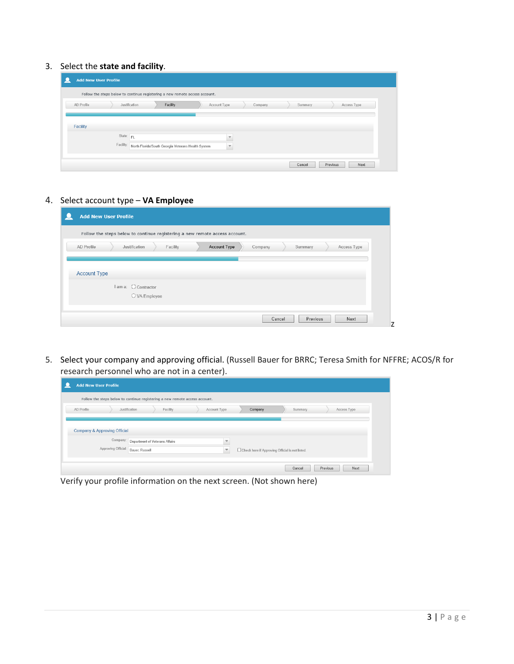3. Select the **state and facility**.

| <b>Add New User Profile</b> |                                                                                |
|-----------------------------|--------------------------------------------------------------------------------|
|                             | Follow the steps below to continue registering a new remote access account.    |
| AD Profile                  | Facility<br>Account Type<br>Access Type<br>Justification<br>Company<br>Summary |
|                             |                                                                                |
| Facility                    |                                                                                |
| State: FL                   | $\overline{\mathbf{v}}$                                                        |
| Facility:                   | North Florida/South Georgia Veterans Health System<br>$\overline{\mathbf{v}}$  |
|                             |                                                                                |
|                             | Previous<br>Cancel<br>Next                                                     |

4. Select account type – **VA Employee**

| <b>Add New User Profile</b>                                                                         |
|-----------------------------------------------------------------------------------------------------|
| Follow the steps below to continue registering a new remote access account.                         |
| <b>Account Type</b><br>AD Profile<br>Facility<br>Company<br>Summary<br>Access Type<br>Justification |
|                                                                                                     |
| <b>Account Type</b>                                                                                 |
| I am a: C Contractor                                                                                |
| O VA Employee                                                                                       |
| Previous<br>Cancel<br>Next                                                                          |
|                                                                                                     |

5. Select your company and approving official. (Russell Bauer for BRRC; Teresa Smith for NFFRE; ACOS/R for research personnel who are not in a center).

| <b>Add New User Profile</b>                                                 |                                                                                              |  |  |  |  |
|-----------------------------------------------------------------------------|----------------------------------------------------------------------------------------------|--|--|--|--|
| Follow the steps below to continue registering a new remote access account. |                                                                                              |  |  |  |  |
| AD Profile<br>Justification                                                 | Facility<br>Account Type<br>Summary<br>Company<br>Access Type                                |  |  |  |  |
|                                                                             |                                                                                              |  |  |  |  |
| Company & Approving Official                                                |                                                                                              |  |  |  |  |
| Company:                                                                    | Department of Veterans Affairs<br>v                                                          |  |  |  |  |
| Approving Official:                                                         | Bauer, Russell<br>Check here if Approving Official is not listed.<br>$\overline{\mathbf{v}}$ |  |  |  |  |
|                                                                             |                                                                                              |  |  |  |  |
|                                                                             | Previous<br>Next<br>Cancel                                                                   |  |  |  |  |

Verify your profile information on the next screen. (Not shown here)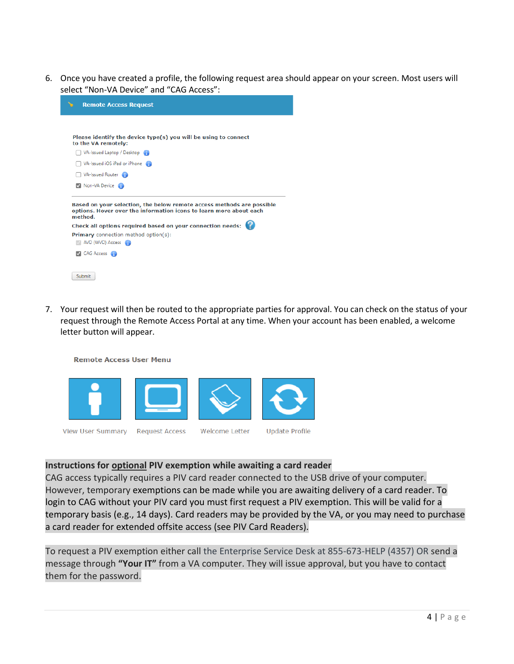6. Once you have created a profile, the following request area should appear on your screen. Most users will select "Non-VA Device" and "CAG Access":

| <b>Remote Access Request</b>                                                                                                                                                                                                                                                                |  |  |
|---------------------------------------------------------------------------------------------------------------------------------------------------------------------------------------------------------------------------------------------------------------------------------------------|--|--|
|                                                                                                                                                                                                                                                                                             |  |  |
| Please identify the device type(s) you will be using to connect<br>to the VA remotely:                                                                                                                                                                                                      |  |  |
| VA-Issued Laptop / Desktop (1)                                                                                                                                                                                                                                                              |  |  |
| VA-Issued iOS iPad or iPhone                                                                                                                                                                                                                                                                |  |  |
| VA-Issued Router                                                                                                                                                                                                                                                                            |  |  |
| V Non-VA Device                                                                                                                                                                                                                                                                             |  |  |
| Based on your selection, the below remote access methods are possible<br>options. Hover over the information icons to learn more about each<br>method.<br>Check all options required based on your connection needs:<br><b>Primary</b> connection method option(s):<br>AVD (WVD) Access (1) |  |  |
| <b>CAG Access</b>                                                                                                                                                                                                                                                                           |  |  |
| Submit                                                                                                                                                                                                                                                                                      |  |  |

7. Your request will then be routed to the appropriate parties for approval. You can check on the status of your request through the Remote Access Portal at any time. When your account has been enabled, a welcome letter button will appear.

**Remote Access User Menu** 



### **Instructions for optional PIV exemption while awaiting a card reader**

CAG access typically requires a PIV card reader connected to the USB drive of your computer. However, temporary exemptions can be made while you are awaiting delivery of a card reader. To login to CAG without your PIV card you must first request a PIV exemption. This will be valid for a temporary basis (e.g., 14 days). Card readers may be provided by the VA, or you may need to purchase a card reader for extended offsite access (see PIV Card Readers).

To request a PIV exemption either call the Enterprise Service Desk at 855-673-HELP (4357) OR send a message through **"Your IT"** from a VA computer. They will issue approval, but you have to contact them for the password.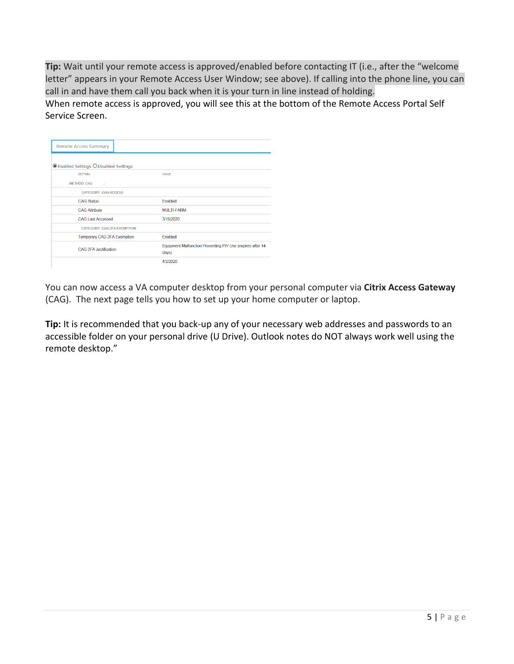**Tip:** Wait until your remote access is approved/enabled before contacting IT (i.e., after the "welcome letter" appears in your Remote Access User Window; see above). If calling into the phone line, you can call in and have them call you back when it is your turn in line instead of holding.

When remote access is approved, you will see this at the bottom of the Remote Access Portal Self Service Screen.

| <b>Remote Access Summary</b>           |                                                                     |
|----------------------------------------|---------------------------------------------------------------------|
| ● Enabled Settings O Disabled Settings |                                                                     |
| <b>SETTING</b>                         | VALUE                                                               |
| <b>METHOD: CAG</b><br>×                |                                                                     |
| <b>CATEGORY: CAG ACCESS</b>            |                                                                     |
| <b>CAG Status</b>                      | Fnabled                                                             |
| <b>CAG Attribute</b>                   | <b>MULTI-FARM</b>                                                   |
| <b>CAG Last Accessed</b>               | 3/19/2020                                                           |
| CATEGORY: CAG 2FA EXEMPTION            |                                                                     |
| Temporary CAG 2FA Exemption            | Enabled                                                             |
| <b>CAG 2FA Justification</b>           | Equipment Malfunction Preventing PIV Use (expires after 14<br>days) |
|                                        | 4/2/2020                                                            |

You can now access a VA computer desktop from your personal computer via **Citrix Access Gateway** (CAG). The next page tells you how to set up your home computer or laptop.

**Tip:** It is recommended that you back-up any of your necessary web addresses and passwords to an accessible folder on your personal drive (U Drive). Outlook notes do NOT always work well using the remote desktop."